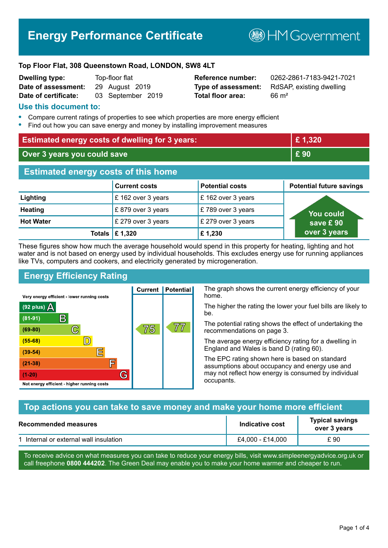# **Energy Performance Certificate**

**B**HMGovernment

#### **Top Floor Flat, 308 Queenstown Road, LONDON, SW8 4LT**

| <b>Dwelling type:</b> | Top-floor flat    |
|-----------------------|-------------------|
| Date of assessment:   | 29 August 2019    |
| Date of certificate:  | 03 September 2019 |

**Total floor area:** 66 m<sup>2</sup>

**Reference number:** 0262-2861-7183-9421-7021 **Type of assessment:** RdSAP, existing dwelling

#### **Use this document to:**

- **•** Compare current ratings of properties to see which properties are more energy efficient
- **•** Find out how you can save energy and money by installing improvement measures

| <b>Estimated energy costs of dwelling for 3 years:</b> |                                 |                        | £1,320                          |
|--------------------------------------------------------|---------------------------------|------------------------|---------------------------------|
| Over 3 years you could save                            |                                 |                        | £90                             |
| <b>Estimated energy costs of this home</b>             |                                 |                        |                                 |
|                                                        | <b>Current costs</b>            | <b>Potential costs</b> | <b>Potential future savings</b> |
| Lighting                                               | £162 over 3 years               | £162 over 3 years      |                                 |
| <b>Heating</b>                                         | £879 over 3 years               | £789 over 3 years      | <u>Yo</u> u could               |
| <b>Hot Water</b>                                       | £ 279 over 3 years              | £ 279 over 3 years     | save £90                        |
|                                                        | Totals $\mathbf \epsilon$ 1,320 | £1,230                 | over 3 years                    |

These figures show how much the average household would spend in this property for heating, lighting and hot water and is not based on energy used by individual households. This excludes energy use for running appliances like TVs, computers and cookers, and electricity generated by microgeneration.

**Current | Potential** 

75

## **Energy Efficiency Rating**

 $\mathbb{C}$ 

 $\mathbb{D}$ 

E

庐

G

Very energy efficient - lower running costs

R

Not energy efficient - higher running costs

 $(92$  plus)

 $(81 - 91)$ 

 $(69 - 80)$ 

 $(55-68)$ 

 $(39 - 54)$ 

 $(21-38)$ 

 $(1-20)$ 

- 70

The graph shows the current energy efficiency of your home.

The higher the rating the lower your fuel bills are likely to be.

The potential rating shows the effect of undertaking the recommendations on page 3.

The average energy efficiency rating for a dwelling in England and Wales is band D (rating 60).

The EPC rating shown here is based on standard assumptions about occupancy and energy use and may not reflect how energy is consumed by individual occupants.

#### **Top actions you can take to save money and make your home more efficient**

77

| Recommended measures                   | Indicative cost  | <b>Typical savings</b><br>over 3 years |
|----------------------------------------|------------------|----------------------------------------|
| 1 Internal or external wall insulation | £4,000 - £14,000 | £ 90                                   |

To receive advice on what measures you can take to reduce your energy bills, visit www.simpleenergyadvice.org.uk or call freephone **0800 444202**. The Green Deal may enable you to make your home warmer and cheaper to run.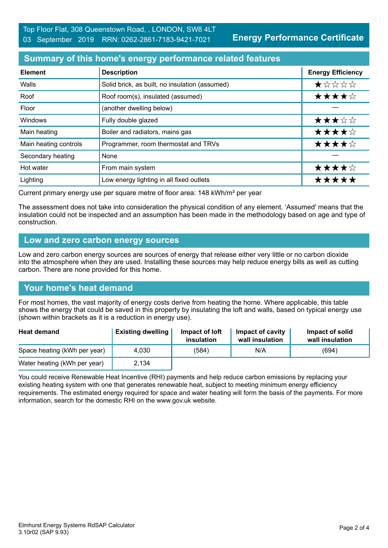## **Summary of this home's energy performance related features**

| <b>Element</b>        | <b>Description</b>                             | <b>Energy Efficiency</b> |
|-----------------------|------------------------------------------------|--------------------------|
| Walls                 | Solid brick, as built, no insulation (assumed) | $\star$ * * * *          |
| Roof                  | Roof room(s), insulated (assumed)              | ★★★★☆                    |
| Floor                 | (another dwelling below)                       |                          |
| Windows               | Fully double glazed                            | ★★★☆☆                    |
| Main heating          | Boiler and radiators, mains gas                | ★★★★☆                    |
| Main heating controls | Programmer, room thermostat and TRVs           | ★★★★☆                    |
| Secondary heating     | None                                           |                          |
| Hot water             | From main system                               | ★★★★☆                    |
| Lighting              | Low energy lighting in all fixed outlets       | *****                    |

Current primary energy use per square metre of floor area: 148 kWh/m² per year

The assessment does not take into consideration the physical condition of any element. 'Assumed' means that the insulation could not be inspected and an assumption has been made in the methodology based on age and type of construction.

#### **Low and zero carbon energy sources**

Low and zero carbon energy sources are sources of energy that release either very little or no carbon dioxide into the atmosphere when they are used. Installing these sources may help reduce energy bills as well as cutting carbon. There are none provided for this home.

## **Your home's heat demand**

For most homes, the vast majority of energy costs derive from heating the home. Where applicable, this table shows the energy that could be saved in this property by insulating the loft and walls, based on typical energy use (shown within brackets as it is a reduction in energy use).

| <b>Heat demand</b>           | <b>Existing dwelling</b> | Impact of loft<br>insulation | Impact of cavity<br>wall insulation | Impact of solid<br>wall insulation |
|------------------------------|--------------------------|------------------------------|-------------------------------------|------------------------------------|
| Space heating (kWh per year) | 4.030                    | (584)                        | N/A                                 | (694)                              |
| Water heating (kWh per year) | 2,134                    |                              |                                     |                                    |

You could receive Renewable Heat Incentive (RHI) payments and help reduce carbon emissions by replacing your existing heating system with one that generates renewable heat, subject to meeting minimum energy efficiency requirements. The estimated energy required for space and water heating will form the basis of the payments. For more information, search for the domestic RHI on the www.gov.uk website.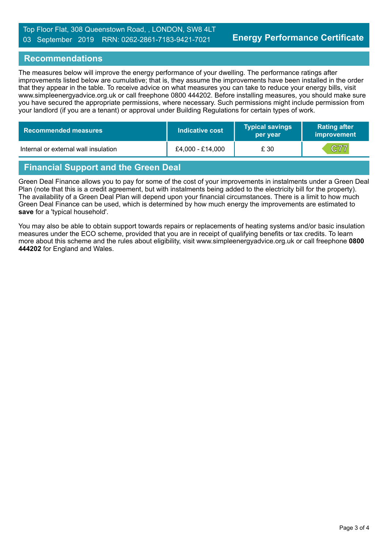### **Recommendations**

The measures below will improve the energy performance of your dwelling. The performance ratings after improvements listed below are cumulative; that is, they assume the improvements have been installed in the order that they appear in the table. To receive advice on what measures you can take to reduce your energy bills, visit www.simpleenergyadvice.org.uk or call freephone 0800 444202. Before installing measures, you should make sure you have secured the appropriate permissions, where necessary. Such permissions might include permission from your landlord (if you are a tenant) or approval under Building Regulations for certain types of work.

| Recommended measures                 | Indicative cost  | <b>Typical savings</b><br>per year | <b>Rating after</b><br><b>improvement</b> |
|--------------------------------------|------------------|------------------------------------|-------------------------------------------|
| Internal or external wall insulation | £4,000 - £14,000 | £ 30                               | C77                                       |

## **Financial Support and the Green Deal**

Green Deal Finance allows you to pay for some of the cost of your improvements in instalments under a Green Deal Plan (note that this is a credit agreement, but with instalments being added to the electricity bill for the property). The availability of a Green Deal Plan will depend upon your financial circumstances. There is a limit to how much Green Deal Finance can be used, which is determined by how much energy the improvements are estimated to **save** for a 'typical household'.

You may also be able to obtain support towards repairs or replacements of heating systems and/or basic insulation measures under the ECO scheme, provided that you are in receipt of qualifying benefits or tax credits. To learn more about this scheme and the rules about eligibility, visit www.simpleenergyadvice.org.uk or call freephone **0800 444202** for England and Wales.